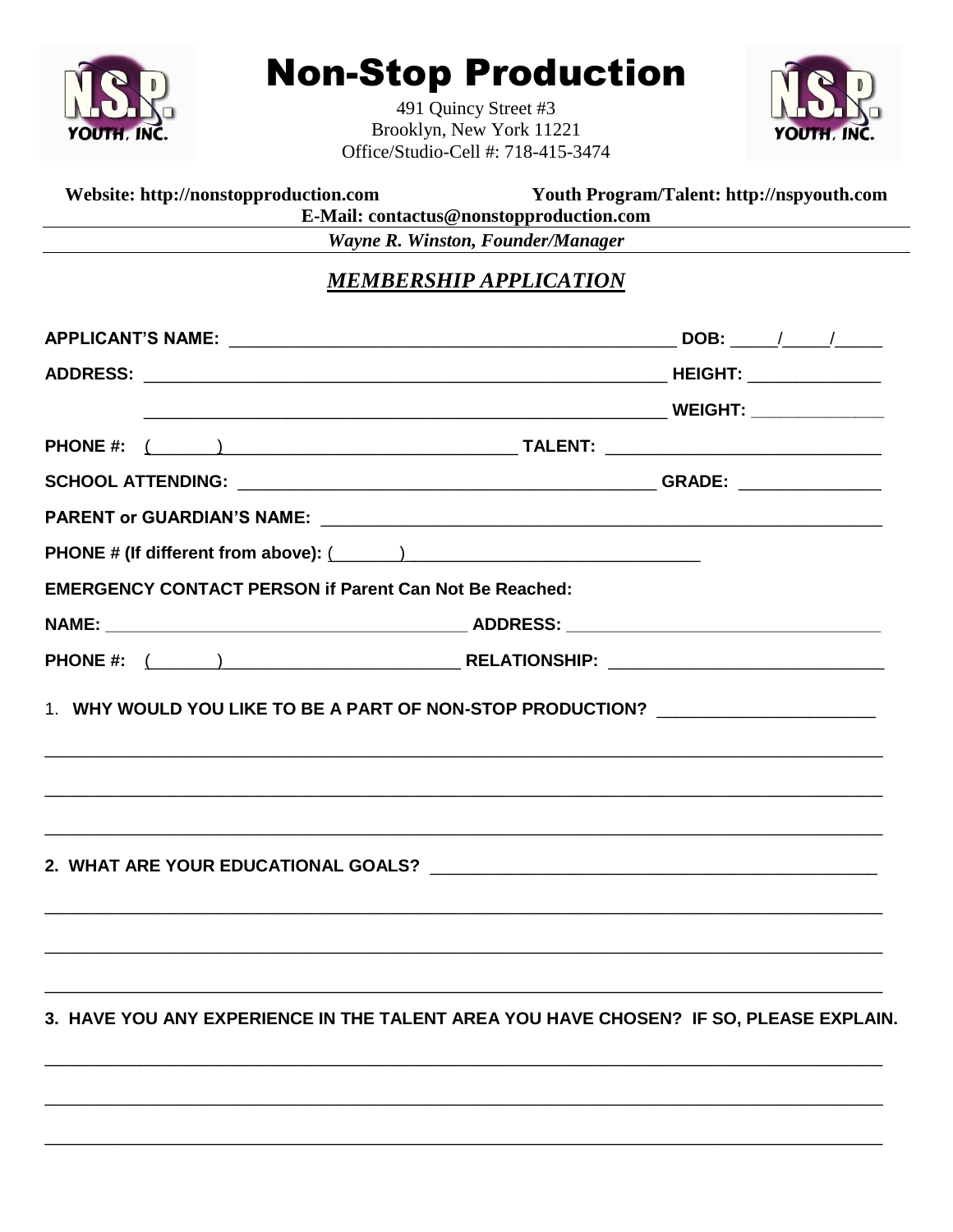

Website: http://nonstopproduction.com

## **Non-Stop Production**

491 Quincy Street #3 Brooklyn, New York 11221 Office/Studio-Cell #: 718-415-3474



Youth Program/Talent: http://nspyouth.com

|                                                               | E-Mail: contactus@nonstopproduction.com                                          |  |  |
|---------------------------------------------------------------|----------------------------------------------------------------------------------|--|--|
|                                                               | Wayne R. Winston, Founder/Manager                                                |  |  |
|                                                               | <b>MEMBERSHIP APPLICATION</b>                                                    |  |  |
|                                                               |                                                                                  |  |  |
|                                                               |                                                                                  |  |  |
|                                                               |                                                                                  |  |  |
|                                                               |                                                                                  |  |  |
|                                                               |                                                                                  |  |  |
|                                                               |                                                                                  |  |  |
|                                                               |                                                                                  |  |  |
| <b>EMERGENCY CONTACT PERSON if Parent Can Not Be Reached:</b> |                                                                                  |  |  |
|                                                               |                                                                                  |  |  |
|                                                               |                                                                                  |  |  |
|                                                               | 1. WHY WOULD YOU LIKE TO BE A PART OF NON-STOP PRODUCTION? _____________________ |  |  |
|                                                               |                                                                                  |  |  |
|                                                               | ,我们就会在这里的人,我们就会在这里的人,我们就会在这里的人,我们就会在这里的人,我们就会在这里的人,我们就会在这里的人,我们就会在这里的人,我们就会在这里的人 |  |  |
|                                                               |                                                                                  |  |  |

3. HAVE YOU ANY EXPERIENCE IN THE TALENT AREA YOU HAVE CHOSEN? IF SO, PLEASE EXPLAIN.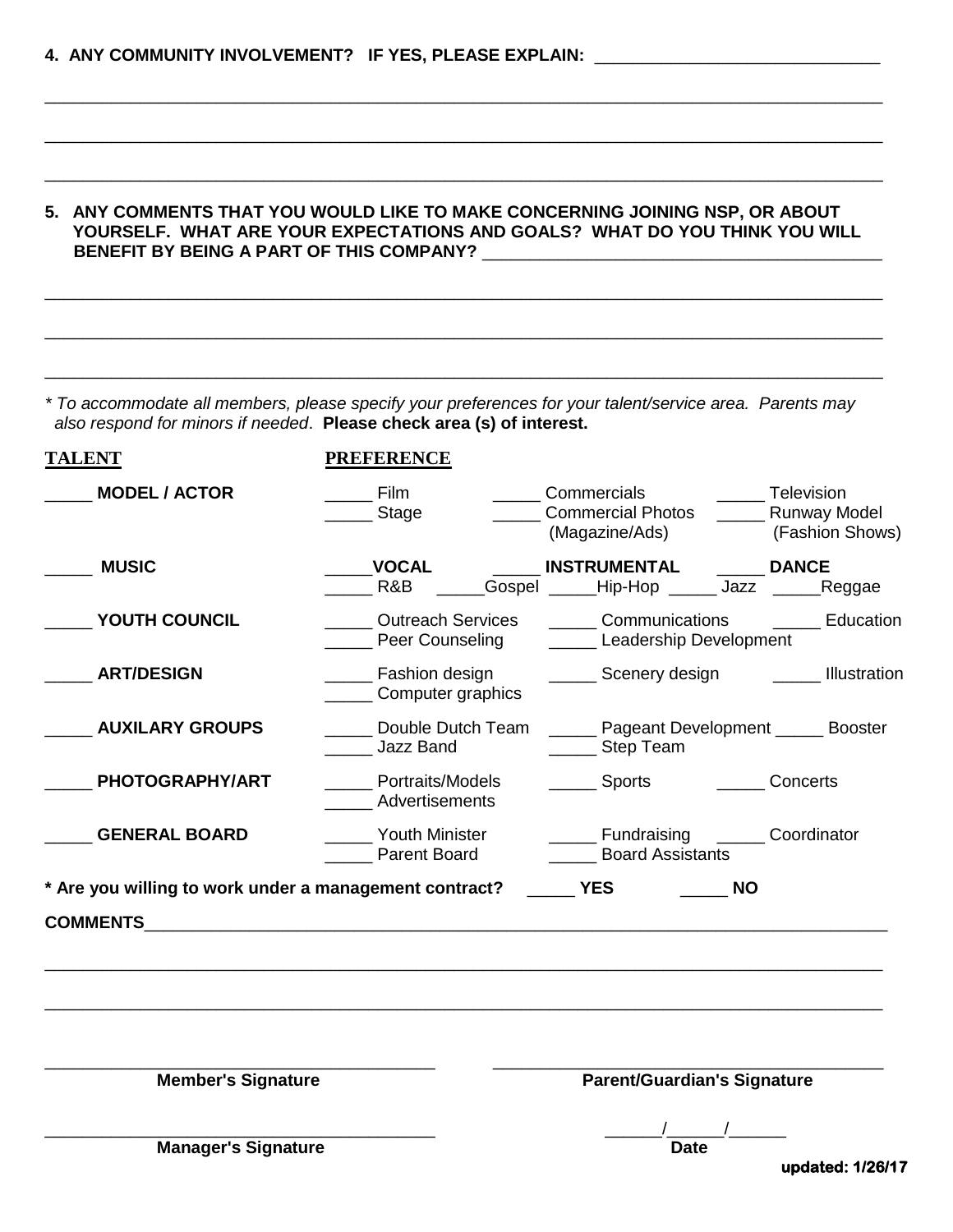## **5. ANY COMMENTS THAT YOU WOULD LIKE TO MAKE CONCERNING JOINING NSP, OR ABOUT YOURSELF. WHAT ARE YOUR EXPECTATIONS AND GOALS? WHAT DO YOU THINK YOU WILL BENEFIT BY BEING A PART OF THIS COMPANY?**

\_\_\_\_\_\_\_\_\_\_\_\_\_\_\_\_\_\_\_\_\_\_\_\_\_\_\_\_\_\_\_\_\_\_\_\_\_\_\_\_\_\_\_\_\_\_\_\_\_\_\_\_\_\_\_\_\_\_\_\_\_\_\_\_\_\_\_\_\_\_\_\_\_\_\_\_\_\_\_\_\_\_\_\_\_\_\_\_

\_\_\_\_\_\_\_\_\_\_\_\_\_\_\_\_\_\_\_\_\_\_\_\_\_\_\_\_\_\_\_\_\_\_\_\_\_\_\_\_\_\_\_\_\_\_\_\_\_\_\_\_\_\_\_\_\_\_\_\_\_\_\_\_\_\_\_\_\_\_\_\_\_\_\_\_\_\_\_\_\_\_\_\_\_\_\_\_

\_\_\_\_\_\_\_\_\_\_\_\_\_\_\_\_\_\_\_\_\_\_\_\_\_\_\_\_\_\_\_\_\_\_\_\_\_\_\_\_\_\_\_\_\_\_\_\_\_\_\_\_\_\_\_\_\_\_\_\_\_\_\_\_\_\_\_\_\_\_\_\_\_\_\_\_\_\_\_\_\_\_\_\_\_\_\_\_

\_\_\_\_\_\_\_\_\_\_\_\_\_\_\_\_\_\_\_\_\_\_\_\_\_\_\_\_\_\_\_\_\_\_\_\_\_\_\_\_\_\_\_\_\_\_\_\_\_\_\_\_\_\_\_\_\_\_\_\_\_\_\_\_\_\_\_\_\_\_\_\_\_\_\_\_\_\_\_\_\_\_\_\_\_\_\_\_

\_\_\_\_\_\_\_\_\_\_\_\_\_\_\_\_\_\_\_\_\_\_\_\_\_\_\_\_\_\_\_\_\_\_\_\_\_\_\_\_\_\_\_\_\_\_\_\_\_\_\_\_\_\_\_\_\_\_\_\_\_\_\_\_\_\_\_\_\_\_\_\_\_\_\_\_\_\_\_\_\_\_\_\_\_\_\_\_

\_\_\_\_\_\_\_\_\_\_\_\_\_\_\_\_\_\_\_\_\_\_\_\_\_\_\_\_\_\_\_\_\_\_\_\_\_\_\_\_\_\_\_\_\_\_\_\_\_\_\_\_\_\_\_\_\_\_\_\_\_\_\_\_\_\_\_\_\_\_\_\_\_\_\_\_\_\_\_\_\_\_\_\_\_\_\_\_

*\* To accommodate all members, please specify your preferences for your talent/service area. Parents may also respond for minors if needed*. **Please check area (s) of interest.**

| <b>TALENT</b>                                                                      | <b>PREFERENCE</b>                                          |                                                                                |                                      |
|------------------------------------------------------------------------------------|------------------------------------------------------------|--------------------------------------------------------------------------------|--------------------------------------|
| <b>MODEL / ACTOR</b>                                                               | <b>Film</b><br>_____ Stage                                 | _______ Commercials<br>Commercial Photos ______ Runway Model<br>(Magazine/Ads) | ______ Television<br>(Fashion Shows) |
| <b>MUSIC</b>                                                                       | <b>VOCAL</b><br>R&B                                        | <b>INSTRUMENTAL</b><br>Gospel Hip-Hop Jazz Reggae                              | <b>DANCE</b>                         |
| YOUTH COUNCIL                                                                      | <b>Outreach Services</b><br><b>Example Peer Counseling</b> | <b>Communications</b> Education<br>Leadership Development                      |                                      |
| <b>ART/DESIGN</b>                                                                  | <b>Eashion design</b><br>Computer graphics                 | _______ Scenery design __________ Illustration                                 |                                      |
| <b>AUXILARY GROUPS</b>                                                             | Double Dutch Team<br><b>Jazz Band</b>                      | ______ Pageant Development ______ Booster<br>______ Step Team                  |                                      |
| PHOTOGRAPHY/ART                                                                    | Portraits/Models<br>Advertisements                         | _______ Sports _________ Concerts                                              |                                      |
| <b>GENERAL BOARD</b>                                                               | __ Youth Minister<br><b>Parent Board</b>                   | ______ Fundraising _______ Coordinator<br><b>Board Assistants</b>              |                                      |
| * Are you willing to work under a management contract? ________ YES ___________ NO |                                                            |                                                                                |                                      |
| <b>Member's Signature</b>                                                          |                                                            | <b>Parent/Guardian's Signature</b>                                             |                                      |
| <b>Manager's Signature</b>                                                         |                                                            | <b>Date</b>                                                                    | updated: 1/26/17                     |